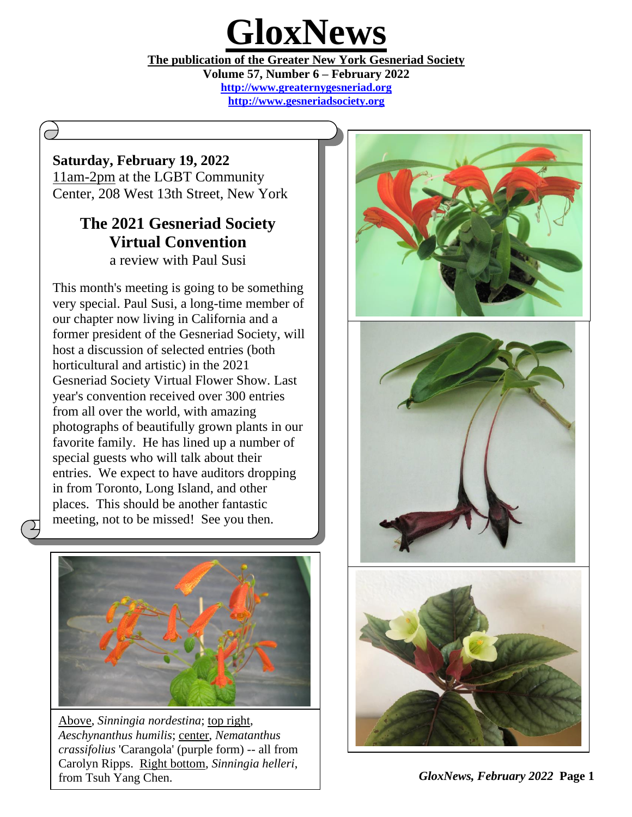# **GloxNews**

<u>he</u> **The publication of the Greater New York Gesneriad Society**

**Volume 57, Number 6 – February 2022 [http://www.greaternygesneriad.org](http://www.nygesneriad.org/) [http://www.gesneriadsociety.org](http://www.gesneriadsociety.org/)**

> $\overline{a}$  $\overline{a}$

# **Saturday, February 19, 2022**

11am-2pm at the LGBT Community Center, 208 West 13th Street, New York

# **The 2021 Gesneriad Society Virtual Convention**  a review with Paul Susi

This month's meeting is going to be something very special. Paul Susi, a long-time member of our chapter now living in California and a former president of the Gesneriad Society, will host a discussion of selected entries (both horticultural and artistic) in the 2021 Gesneriad Society Virtual Flower Show. Last year's convention received over 300 entries from all over the world, with amazing photographs of beautifully grown plants in our favorite family. He has lined up a number of special guests who will talk about their entries. We expect to have auditors dropping in from Toronto, Long Island, and other places. This should be another fantastic meeting, not to be missed! See you then.



Above, *Sinningia nordestina*; top right, *Aeschynanthus humilis*; center, *Nematanthus crassifolius* 'Carangola' (purple form) -- all from Carolyn Ripps. Right bottom, *Sinningia helleri*, from Tsuh Yang Chen.



*GloxNews, February 2022* **Page 1**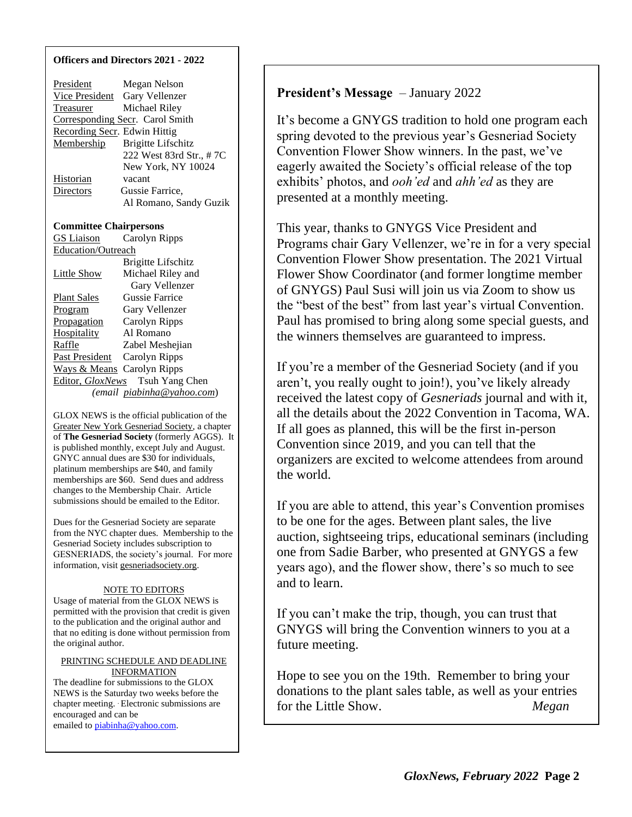### **Officers and Directors 2021 - 2022**

| President                     | Megan Nelson                    |  |
|-------------------------------|---------------------------------|--|
| <b>Vice President</b>         | Gary Vellenzer                  |  |
| <u>Treasurer</u>              | Michael Riley                   |  |
|                               | Corresponding Secr. Carol Smith |  |
| Recording Secr. Edwin Hittig  |                                 |  |
| Membership                    | <b>Brigitte Lifschitz</b>       |  |
|                               | 222 West 83rd Str., #7C         |  |
|                               | New York, NY 10024              |  |
| <u>Historian</u>              | vacant                          |  |
| <b>Directors</b>              | Gussie Farrice,                 |  |
|                               | Al Romano, Sandy Guzik          |  |
|                               |                                 |  |
| <b>Committee Chairpersons</b> |                                 |  |
| <b>GS</b> Liaison             | Carolyn Ripps                   |  |
| Education/Outreach            |                                 |  |
|                               | Brigitte Lifschitz              |  |
| <b>Little Show</b>            | Michael Riley and               |  |
| Gary Vellenzer                |                                 |  |
| <b>Plant Sales</b>            | <b>Gussie Farrice</b>           |  |
| Program                       | Gary Vellenzer                  |  |
| Propagation                   | Carolyn Ripps                   |  |
| <b>Hospitality</b>            | Al Romano                       |  |
| Raffle                        | Zabel Meshejian                 |  |
| Past President                | Carolyn Ripps                   |  |
| <b>Ways &amp; Means</b>       | Carolyn Ripps                   |  |
|                               | Editor, GloxNews Tsuh Yang Chen |  |

 *(email piabinha@yahoo.com*)

GLOX NEWS is the official publication of the Greater New York Gesneriad Society, a chapter of **The Gesneriad Society** (formerly AGGS). It is published monthly, except July and August. GNYC annual dues are \$30 for individuals, platinum memberships are \$40, and family memberships are \$60. Send dues and address changes to the Membership Chair. Article submissions should be emailed to the Editor.

Dues for the Gesneriad Society are separate from the NYC chapter dues. Membership to the Gesneriad Society includes subscription to GESNERIADS, the society's journal. For more information, visit gesneriadsociety.org.

## NOTE TO EDITORS

Usage of material from the GLOX NEWS is permitted with the provision that credit is given to the publication and the original author and that no editing is done without permission from the original author.

#### PRINTING SCHEDULE AND DEADLINE INFORMATION

The deadline for submissions to the GLOX NEWS is the Saturday two weeks before the chapter meeting. . Electronic submissions are encouraged and can be emailed t[o piabinha@yahoo.com.](mailto:piabinha@yahoo.com)

**President's Message** – January 2022

It's become a GNYGS tradition to hold one program each spring devoted to the previous year's Gesneriad Society Convention Flower Show winners. In the past, we've eagerly awaited the Society's official release of the top exhibits' photos, and *ooh'ed* and *ahh'ed* as they are presented at a monthly meeting.

This year, thanks to GNYGS Vice President and Programs chair Gary Vellenzer, we're in for a very special Convention Flower Show presentation. The 2021 Virtual Flower Show Coordinator (and former longtime member of GNYGS) Paul Susi will join us via Zoom to show us the "best of the best" from last year's virtual Convention. Paul has promised to bring along some special guests, and the winners themselves are guaranteed to impress.

If you're a member of the Gesneriad Society (and if you aren't, you really ought to join!), you've likely already received the latest copy of *Gesneriads* journal and with it, all the details about the 2022 Convention in Tacoma, WA. If all goes as planned, this will be the first in-person Convention since 2019, and you can tell that the organizers are excited to welcome attendees from around the world.

If you are able to attend, this year's Convention promises to be one for the ages. Between plant sales, the live auction, sightseeing trips, educational seminars (including one from Sadie Barber, who presented at GNYGS a few years ago), and the flower show, there's so much to see and to learn.

If you can't make the trip, though, you can trust that GNYGS will bring the Convention winners to you at a future meeting.

Hope to see you on the 19th. Remember to bring your donations to the plant sales table, as well as your entries for the Little Show. *Megan*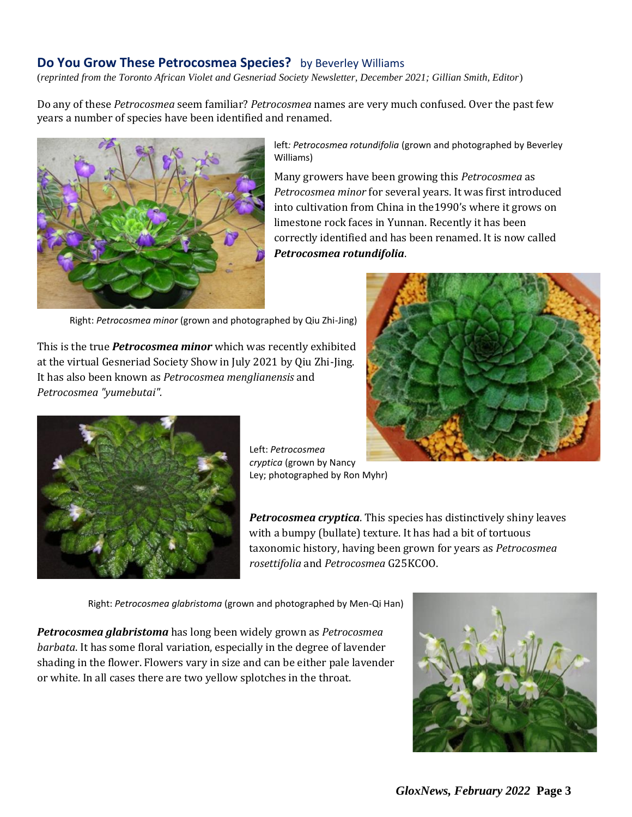## **Do You Grow These Petrocosmea Species?** by Beverley Williams

(*reprinted from the Toronto African Violet and Gesneriad Society Newsletter, December 2021; Gillian Smith, Editor*)

Do any of these *Petrocosmea* seem familiar? *Petrocosmea* names are very much confused. Over the past few years a number of species have been identified and renamed.



left*: Petrocosmea rotundifolia* (grown and photographed by Beverley Williams)

Many growers have been growing this *Petrocosmea* as *Petrocosmea minor* for several years. It was first introduced into cultivation from China in the1990's where it grows on limestone rock faces in Yunnan. Recently it has been correctly identified and has been renamed. It is now called *Petrocosmea rotundifolia*.

Right: *Petrocosmea minor* (grown and photographed by Qiu Zhi-Jing)

This is the true *Petrocosmea minor* which was recently exhibited at the virtual Gesneriad Society Show in July 2021 by Qiu Zhi-Jing. It has also been known as *Petrocosmea menglianensis* and *Petrocosmea "yumebutai".*





Left: *Petrocosmea cryptica* (grown by Nancy Ley; photographed by Ron Myhr)

*Petrocosmea cryptica*. This species has distinctively shiny leaves with a bumpy (bullate) texture. It has had a bit of tortuous taxonomic history, having been grown for years as *Petrocosmea rosettifolia* and *Petrocosmea* G25KCOO.

Right: *Petrocosmea glabristoma* (grown and photographed by Men-Qi Han)

*Petrocosmea glabristoma* has long been widely grown as *Petrocosmea barbata*. It has some floral variation, especially in the degree of lavender shading in the flower. Flowers vary in size and can be either pale lavender or white. In all cases there are two yellow splotches in the throat.

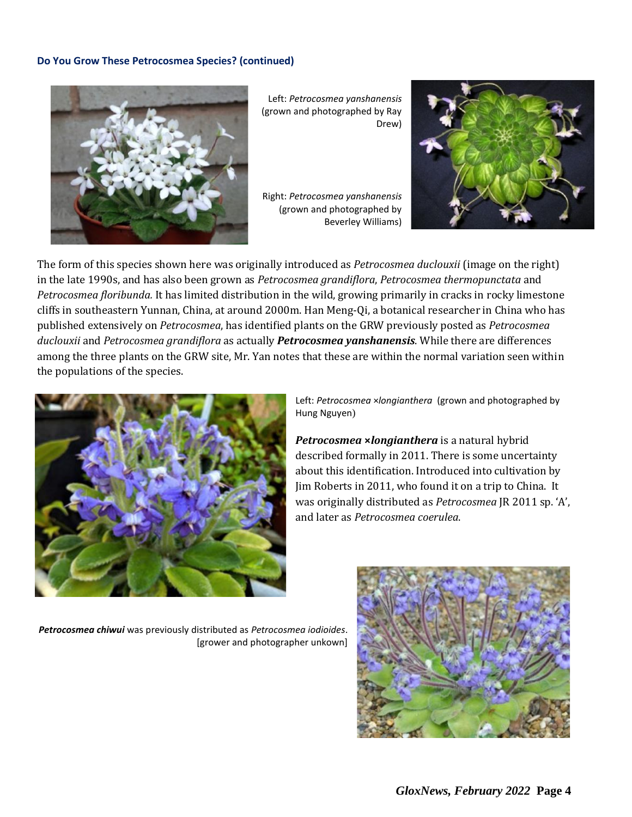## **Do You Grow These Petrocosmea Species? (continued)**



Left: *Petrocosmea yanshanensis* (grown and photographed by Ray Drew)

Right: *Petrocosmea yanshanensis* (grown and photographed by Beverley Williams)



The form of this species shown here was originally introduced as *Petrocosmea duclouxii* (image on the right) in the late 1990s, and has also been grown as *Petrocosmea grandiflora*, *Petrocosmea thermopunctata* and *Petrocosmea floribunda.* It has limited distribution in the wild, growing primarily in cracks in rocky limestone cliffs in southeastern Yunnan, China, at around 2000m. Han Meng-Qi, a botanical researcher in China who has published extensively on *Petrocosmea*, has identified plants on the GRW previously posted as *Petrocosmea duclouxii* and *Petrocosmea grandiflora* as actually *Petrocosmea yanshanensis*. While there are differences among the three plants on the GRW site, Mr. Yan notes that these are within the normal variation seen within the populations of the species.



Left: *Petrocosmea* ×*longianthera* (grown and photographed by Hung Nguyen)

*Petrocosmea* **×***longianthera* is a natural hybrid described formally in 2011. There is some uncertainty about this identification. Introduced into cultivation by Jim Roberts in 2011, who found it on a trip to China. It was originally distributed as *Petrocosmea* JR 2011 sp. 'A', and later as *Petrocosmea coerulea*.

*Petrocosmea chiwui* was previously distributed as *Petrocosmea iodioides*. [grower and photographer unkown]

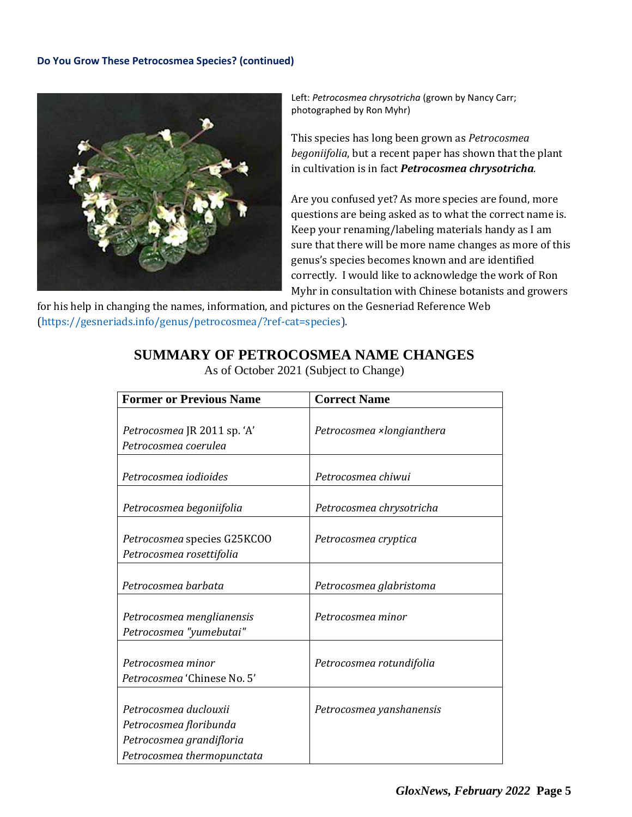## **Do You Grow These Petrocosmea Species? (continued)**



Left: *Petrocosmea chrysotricha* (grown by Nancy Carr; photographed by Ron Myhr)

This species has long been grown as *Petrocosmea begoniifolia*, but a recent paper has shown that the plant in cultivation is in fact *Petrocosmea chrysotricha.*

Are you confused yet? As more species are found, more questions are being asked as to what the correct name is. Keep your renaming/labeling materials handy as I am sure that there will be more name changes as more of this genus's species becomes known and are identified correctly. I would like to acknowledge the work of Ron Myhr in consultation with Chinese botanists and growers

for his help in changing the names, information, and pictures on the Gesneriad Reference Web (https://gesneriads.info/genus/petrocosmea/?ref-cat=species).

# **SUMMARY OF PETROCOSMEA NAME CHANGES**

| <b>Former or Previous Name</b>                                                                            | <b>Correct Name</b>       |
|-----------------------------------------------------------------------------------------------------------|---------------------------|
| Petrocosmea JR 2011 sp. 'A'<br>Petrocosmea coerulea                                                       | Petrocosmea ×longianthera |
| Petrocosmea iodioides                                                                                     | Petrocosmea chiwui        |
| Petrocosmea begoniifolia                                                                                  | Petrocosmea chrysotricha  |
| Petrocosmea species G25KCOO<br>Petrocosmea rosettifolia                                                   | Petrocosmea cryptica      |
| Petrocosmea barbata                                                                                       | Petrocosmea glabristoma   |
| Petrocosmea menglianensis<br>Petrocosmea "yumebutai"                                                      | Petrocosmea minor         |
| Petrocosmea minor<br>Petrocosmea 'Chinese No. 5'                                                          | Petrocosmea rotundifolia  |
| Petrocosmea duclouxii<br>Petrocosmea floribunda<br>Petrocosmea grandifloria<br>Petrocosmea thermopunctata | Petrocosmea yanshanensis  |

As of October 2021 (Subject to Change)